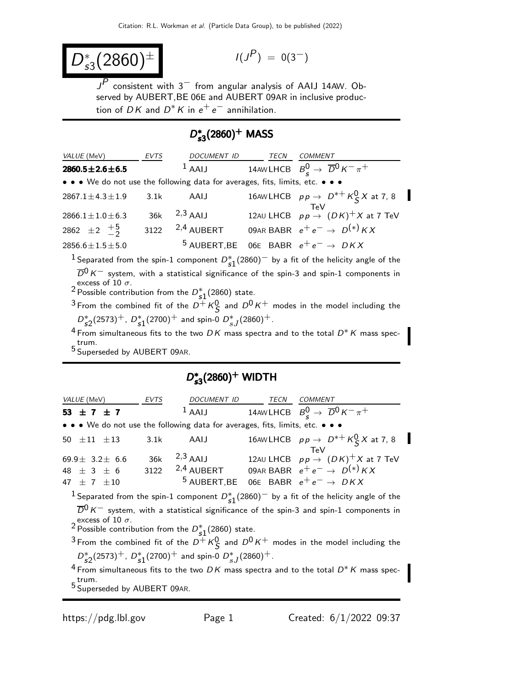$$
D_{s3}^*(2860)^{\pm} \qquad \qquad \text{if } \qquad
$$

$$
I(J^P) = 0(3^-)
$$

 $I^P$ consistent with  $3^-$  from angular analysis of AAIJ 14AW. Observed by AUBERT,BE 06E and AUBERT 09AR in inclusive production of  $DK$  and  $D^*K$  in  $e^+e^-$  annihilation.

# D ∗  $D_{s3}^*(2860)^+$  MASS

| <i>VALUE</i> (MeV)                                                            | EVTS | DOCUMENT ID         | <b>TECN</b> | COMMENT                                                     |  |  |  |
|-------------------------------------------------------------------------------|------|---------------------|-------------|-------------------------------------------------------------|--|--|--|
| $2860.5 \pm 2.6 \pm 6.5$                                                      |      | $1$ AAIJ            |             | 14AW LHCB $B_c^0 \rightarrow \overline{D}^0 K^- \pi^+$      |  |  |  |
| • • • We do not use the following data for averages, fits, limits, etc. • • • |      |                     |             |                                                             |  |  |  |
| $2867.1 \pm 4.3 \pm 1.9$                                                      | 3.1k | AAIJ                |             | 16AWLHCB $pp \rightarrow D^{*+} K^0_S X$ at 7, 8            |  |  |  |
|                                                                               |      |                     |             | TeV                                                         |  |  |  |
| $2866.1 \pm 1.0 \pm 6.3$                                                      |      | $36k$ $^{2,3}$ AAIJ |             | 12AU LHCB $pp \rightarrow (DK)^+ X$ at 7 TeV                |  |  |  |
| 2862 $\pm 2$ $\frac{+5}{2}$                                                   |      | 3122 $2,4$ AUBERT   |             | 09AR BABR $e^+e^- \rightarrow D^{(*)}KX$                    |  |  |  |
| $2856.6 \pm 1.5 \pm 5.0$                                                      |      |                     |             | <sup>5</sup> AUBERT, BE 06E BABR $e^+e^- \rightarrow D K X$ |  |  |  |
|                                                                               |      |                     |             |                                                             |  |  |  |

<sup>1</sup> Separated from the spin-1 component  $D_{s1}^*(2860)^-$  by a fit of the helicity angle of the  $\overline{D}^0 K^-$  system, with a statistical significance of the spin-3 and spin-1 components in excess of 10 *σ*.<br><sup>2</sup> Possible contribution from the  $D_{s1}^*(2860)$  state.

 $^3$ From the combined fit of the  $D^+$   $\mathcal{K}^0_\mathcal{S}$  and  $D^0$   $\mathcal{K}^+$  modes in the model including the  $D_{s2}^*(2573)^+$ ,  $D_{s1}^*(2700)^+$  and spin-0  $D_{sJ}^*(2860)^+$ .

<sup>4</sup> From simultaneous fits to the two  $DK$  mass spectra and to the total  $D^*K$  mass spectrum.

5 Superseded by AUBERT 09AR.

# D ∗  $D_{s3}^*(2860)^+$  WIDTH

| <i>VALUE</i> (MeV)                                                            | EVTS | <i>DOCUMENT ID</i>               | <b>TECN</b> | COMMENT                                                                                                                                                        |
|-------------------------------------------------------------------------------|------|----------------------------------|-------------|----------------------------------------------------------------------------------------------------------------------------------------------------------------|
| 53 $\pm$ 7 $\pm$ 7                                                            |      |                                  |             | <sup>1</sup> AAIJ 14AWLHCB $B_c^0 \rightarrow \overline{D}^0 K^- \pi^+$                                                                                        |
| • • • We do not use the following data for averages, fits, limits, etc. • • • |      |                                  |             |                                                                                                                                                                |
| 50 $\pm 11$ $\pm 13$                                                          | 3.1k | AAIJ                             |             | 16AWLHCB $pp \rightarrow D^{*+} K^0_S X$ at 7, 8                                                                                                               |
| 69.9 $\pm$ 3.2 $\pm$ 6.6<br>48 $\pm$ 3 $\pm$ 6<br>$47 + 7 + 10$               | 3122 | $36k$ $2,3$ AAIJ<br>$2,4$ AUBERT |             | TeV<br>12AU LHCB $pp \rightarrow (DK)^+ X$ at 7 TeV<br>09AR BABR $e^+e^- \rightarrow D^{(*)}KX$<br><sup>5</sup> AUBERT, BE 06E BABR $e^+e^- \rightarrow D K X$ |

<sup>1</sup> Separated from the spin-1 component  $D_{s1}^*(2860)^-$  by a fit of the helicity angle of the  $\overline{D}^0$  K $^-$  system, with a statistical significance of the spin-3 and spin-1 components in excess of 10 *σ*.<br><sup>2</sup> Possible contribution from the  $D_{s1}^*(2860)$  state.

 $^3$  From the combined fit of the  $D^+$   $\kappa^0_S$  and  $D^0$   $\kappa^+$  modes in the model including the  $D_{s2}^*(2573)^+$ ,  $D_{s1}^*(2700)^+$  and spin-0  $D_{sJ}^*(2860)^+$ .

 $4$  From simultaneous fits to the two DK mass spectra and to the total  $D^*K$  mass spectrum.

5 Superseded by AUBERT 09AR.